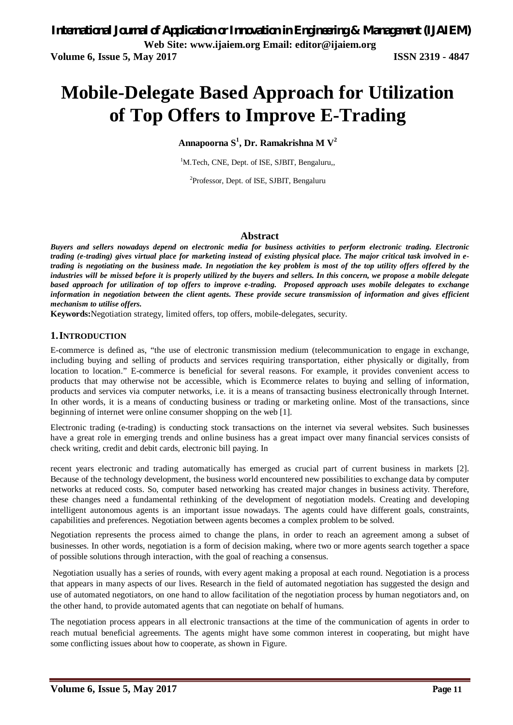# **Mobile-Delegate Based Approach for Utilization of Top Offers to Improve E-Trading**

**Annapoorna S<sup>1</sup> , Dr. Ramakrishna M V<sup>2</sup>**

<sup>1</sup>M.Tech, CNE, Dept. of ISE, SJBIT, Bengaluru,,

<sup>2</sup>Professor, Dept. of ISE, SJBIT, Bengaluru

#### **Abstract**

*Buyers and sellers nowadays depend on electronic media for business activities to perform electronic trading. Electronic trading (e-trading) gives virtual place for marketing instead of existing physical place. The major critical task involved in etrading is negotiating on the business made. In negotiation the key problem is most of the top utility offers offered by the industries will be missed before it is properly utilized by the buyers and sellers. In this concern, we propose a mobile delegate based approach for utilization of top offers to improve e-trading. Proposed approach uses mobile delegates to exchange information in negotiation between the client agents. These provide secure transmission of information and gives efficient mechanism to utilise offers.*

**Keywords:**Negotiation strategy, limited offers, top offers, mobile-delegates, security.

#### **1.INTRODUCTION**

E-commerce is defined as, "the use of electronic transmission medium (telecommunication to engage in exchange, including buying and selling of products and services requiring transportation, either physically or digitally, from location to location." E-commerce is beneficial for several reasons. For example, it provides convenient access to products that may otherwise not be accessible, which is Ecommerce relates to buying and selling of information, products and services via computer networks, i.e. it is a means of transacting business electronically through Internet. In other words, it is a means of conducting business or trading or marketing online. Most of the transactions, since beginning of internet were online consumer shopping on the web [1].

Electronic trading (e-trading) is conducting stock transactions on the internet via several websites. Such businesses have a great role in emerging trends and online business has a great impact over many financial services consists of check writing, credit and debit cards, electronic bill paying. In

recent years electronic and trading automatically has emerged as crucial part of current business in markets [2]. Because of the technology development, the business world encountered new possibilities to exchange data by computer networks at reduced costs. So, computer based networking has created major changes in business activity. Therefore, these changes need a fundamental rethinking of the development of negotiation models. Creating and developing intelligent autonomous agents is an important issue nowadays. The agents could have different goals, constraints, capabilities and preferences. Negotiation between agents becomes a complex problem to be solved.

Negotiation represents the process aimed to change the plans, in order to reach an agreement among a subset of businesses. In other words, negotiation is a form of decision making, where two or more agents search together a space of possible solutions through interaction, with the goal of reaching a consensus.

Negotiation usually has a series of rounds, with every agent making a proposal at each round. Negotiation is a process that appears in many aspects of our lives. Research in the field of automated negotiation has suggested the design and use of automated negotiators, on one hand to allow facilitation of the negotiation process by human negotiators and, on the other hand, to provide automated agents that can negotiate on behalf of humans.

The negotiation process appears in all electronic transactions at the time of the communication of agents in order to reach mutual beneficial agreements. The agents might have some common interest in cooperating, but might have some conflicting issues about how to cooperate, as shown in Figure.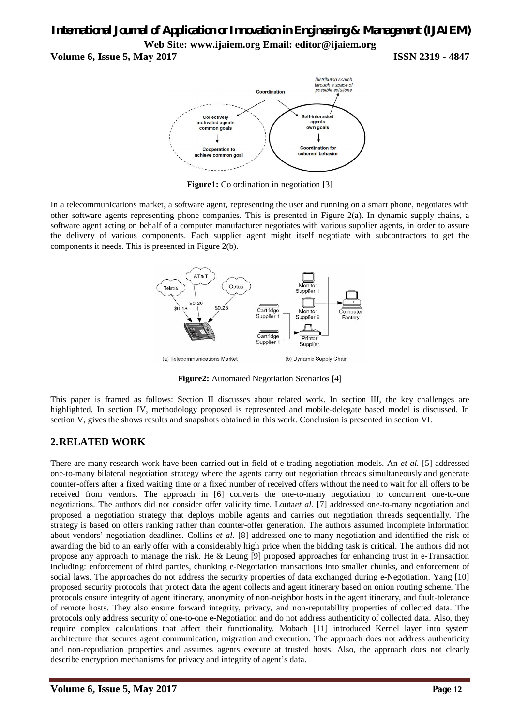# *International Journal of Application or Innovation in Engineering & Management (IJAIEM)* **Web Site: www.ijaiem.org Email: editor@ijaiem.org**

**Volume 6, Issue 5, May 2017 ISSN 2319 - 4847**



**Figure1:** Co ordination in negotiation [3]

In a telecommunications market, a software agent, representing the user and running on a smart phone, negotiates with other software agents representing phone companies. This is presented in Figure 2(a). In dynamic supply chains, a software agent acting on behalf of a computer manufacturer negotiates with various supplier agents, in order to assure the delivery of various components. Each supplier agent might itself negotiate with subcontractors to get the components it needs. This is presented in Figure 2(b).



**Figure2:** Automated Negotiation Scenarios [4]

This paper is framed as follows: Section II discusses about related work. In section III, the key challenges are highlighted. In section IV, methodology proposed is represented and mobile-delegate based model is discussed. In section V, gives the shows results and snapshots obtained in this work. Conclusion is presented in section VI.

## **2.RELATED WORK**

There are many research work have been carried out in field of e-trading negotiation models. An *et al.* [5] addressed one-to-many bilateral negotiation strategy where the agents carry out negotiation threads simultaneously and generate counter-offers after a fixed waiting time or a fixed number of received offers without the need to wait for all offers to be received from vendors. The approach in [6] converts the one-to-many negotiation to concurrent one-to-one negotiations. The authors did not consider offer validity time. Louta*et al.* [7] addressed one-to-many negotiation and proposed a negotiation strategy that deploys mobile agents and carries out negotiation threads sequentially. The strategy is based on offers ranking rather than counter-offer generation. The authors assumed incomplete information about vendors' negotiation deadlines. Collins *et al.* [8] addressed one-to-many negotiation and identified the risk of awarding the bid to an early offer with a considerably high price when the bidding task is critical. The authors did not propose any approach to manage the risk. He & Leung [9] proposed approaches for enhancing trust in e-Transaction including: enforcement of third parties, chunking e-Negotiation transactions into smaller chunks, and enforcement of social laws. The approaches do not address the security properties of data exchanged during e-Negotiation. Yang [10] proposed security protocols that protect data the agent collects and agent itinerary based on onion routing scheme. The protocols ensure integrity of agent itinerary, anonymity of non-neighbor hosts in the agent itinerary, and fault-tolerance of remote hosts. They also ensure forward integrity, privacy, and non-reputability properties of collected data. The protocols only address security of one-to-one e-Negotiation and do not address authenticity of collected data. Also, they require complex calculations that affect their functionality. Mobach [11] introduced Kernel layer into system architecture that secures agent communication, migration and execution. The approach does not address authenticity and non-repudiation properties and assumes agents execute at trusted hosts. Also, the approach does not clearly describe encryption mechanisms for privacy and integrity of agent's data.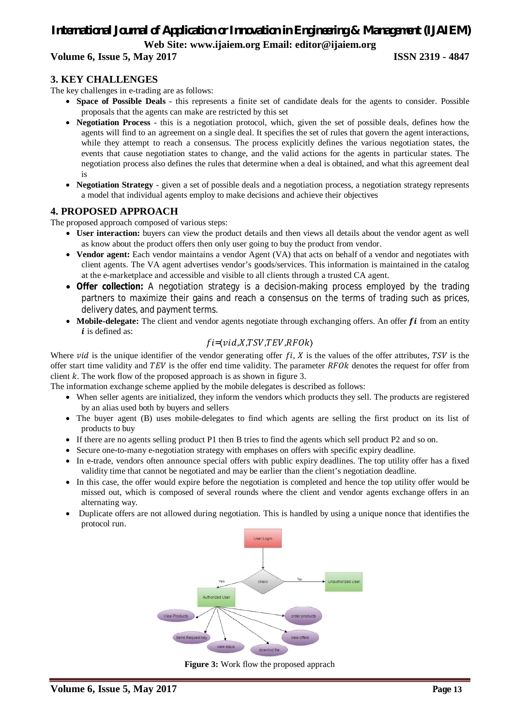# *International Journal of Application or Innovation in Engineering & Management (IJAIEM)* **Web Site: www.ijaiem.org Email: editor@ijaiem.org**

#### **Volume 6, Issue 5, May 2017 ISSN 2319 - 4847**

#### **3. KEY CHALLENGES**

The key challenges in e-trading are as follows:

- **Space of Possible Deals**  this represents a finite set of candidate deals for the agents to consider. Possible proposals that the agents can make are restricted by this set
- **Negotiation Process**  this is a negotiation protocol, which, given the set of possible deals, defines how the agents will find to an agreement on a single deal. It specifies the set of rules that govern the agent interactions, while they attempt to reach a consensus. The process explicitly defines the various negotiation states, the events that cause negotiation states to change, and the valid actions for the agents in particular states. The negotiation process also defines the rules that determine when a deal is obtained, and what this agreement deal is
- **Negotiation Strategy**  given a set of possible deals and a negotiation process, a negotiation strategy represents a model that individual agents employ to make decisions and achieve their objectives

#### **4. PROPOSED APPROACH**

The proposed approach composed of various steps:

- **User interaction:** buyers can view the product details and then views all details about the vendor agent as well as know about the product offers then only user going to buy the product from vendor.
- **Vendor agent:** Each vendor maintains a vendor Agent (VA) that acts on behalf of a vendor and negotiates with client agents. The VA agent advertises vendor's goods/services. This information is maintained in the catalog at the e-marketplace and accessible and visible to all clients through a trusted CA agent.
- **Offer collection:** A negotiation strategy is a decision-making process employed by the trading partners to maximize their gains and reach a consensus on the terms of trading such as prices, delivery dates, and payment terms.
- Mobile-delegate: The client and vendor agents negotiate through exchanging offers. An offer *fi* from an entity  $i$  is defined as:

### $fi = \langle vid, X, TSV, TEV, RFOk \rangle$

Where  $vid$  is the unique identifier of the vendor generating offer  $fi$ ,  $\overline{X}$  is the values of the offer attributes,  $\overline{TSV}$  is the offer start time validity and  $TEV$  is the offer end time validity. The parameter  $RFOk$  denotes the request for offer from client  $k$ . The work flow of the proposed approach is as shown in figure 3.

The information exchange scheme applied by the mobile delegates is described as follows:

- When seller agents are initialized, they inform the vendors which products they sell. The products are registered by an alias used both by buyers and sellers
- The buyer agent (B) uses mobile-delegates to find which agents are selling the first product on its list of products to buy
- If there are no agents selling product P1 then B tries to find the agents which sell product P2 and so on.
- Secure one-to-many e-negotiation strategy with emphases on offers with specific expiry deadline.
- In e-trade, vendors often announce special offers with public expiry deadlines. The top utility offer has a fixed validity time that cannot be negotiated and may be earlier than the client's negotiation deadline.
- In this case, the offer would expire before the negotiation is completed and hence the top utility offer would be missed out, which is composed of several rounds where the client and vendor agents exchange offers in an alternating way.
- Duplicate offers are not allowed during negotiation. This is handled by using a unique nonce that identifies the protocol run.



**Figure 3:** Work flow the proposed apprach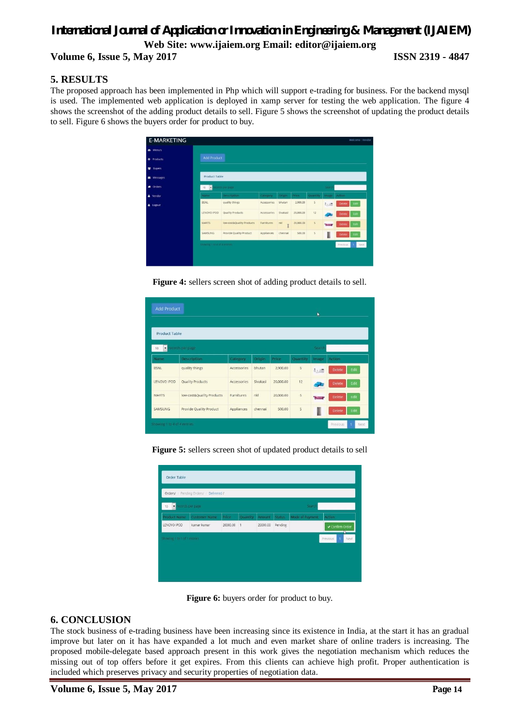## *International Journal of Application or Innovation in Engineering & Management (IJAIEM)* **Web Site: www.ijaiem.org Email: editor@ijaiem.org Volume 6, Issue 5, May 2017 ISSN 2319 - 4847**

#### **5. RESULTS**

The proposed approach has been implemented in Php which will support e-trading for business. For the backend mysql is used. The implemented web application is deployed in xamp server for testing the web application. The figure 4 shows the screenshot of the adding product details to sell. Figure 5 shows the screenshot of updating the product details to sell. Figure 6 shows the buyers order for product to buy.



**Figure 4:** sellers screen shot of adding product details to sell.

| <b>Product Table</b>                    |                           |                   |          |           |                |       |                       |
|-----------------------------------------|---------------------------|-------------------|----------|-----------|----------------|-------|-----------------------|
| ecords per page<br>$\blacksquare$<br>10 |                           |                   |          |           | Search         |       |                       |
| Name                                    | <b>Description</b>        | Category          | Origin   | Price     | Quantity       | Image | <b>Action</b>         |
| <b>BSNL</b>                             | quality things            | Accessories       | bhutan   | 2,900,00  | $\overline{5}$ | 私商    | Edit<br><b>Delete</b> |
| LENOVO IPOD                             | <b>Quality Products</b>   | Accessories       | Sivakasi | 20,000,00 | 12             |       | Edit<br>Delete        |
| <b>MARTS</b>                            | low cost&Quality Products | <b>Furnitures</b> | nkl      | 20,000.00 | 5 <sub>1</sub> | سنا   | Edit<br><b>Delete</b> |
| <b>SAMSUNG</b>                          | Provide Quality Product   | Appliances        | chennai  | 500.00    | 5              |       | Edit<br><b>Delete</b> |

**Figure 5:** sellers screen shot of updated product details to sell



**Figure 6:** buyers order for product to buy.

#### **6. CONCLUSION**

The stock business of e-trading business have been increasing since its existence in India, at the start it has an gradual improve but later on it has have expanded a lot much and even market share of online traders is increasing. The proposed mobile-delegate based approach present in this work gives the negotiation mechanism which reduces the missing out of top offers before it get expires. From this clients can achieve high profit. Proper authentication is included which preserves privacy and security properties of negotiation data.